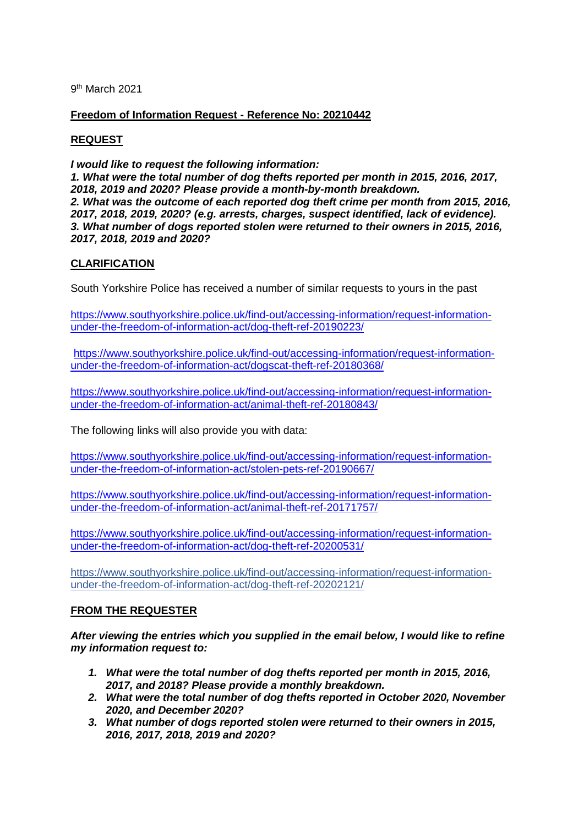9th March 2021

# **Freedom of Information Request - Reference No: 20210442**

# **REQUEST**

*I would like to request the following information: 1. What were the total number of dog thefts reported per month in 2015, 2016, 2017, 2018, 2019 and 2020? Please provide a month-by-month breakdown. 2. What was the outcome of each reported dog theft crime per month from 2015, 2016, 2017, 2018, 2019, 2020? (e.g. arrests, charges, suspect identified, lack of evidence). 3. What number of dogs reported stolen were returned to their owners in 2015, 2016, 2017, 2018, 2019 and 2020?*

# **CLARIFICATION**

South Yorkshire Police has received a number of similar requests to yours in the past

[https://www.southyorkshire.police.uk/find-out/accessing-information/request-information](https://www.southyorkshire.police.uk/find-out/accessing-information/request-information-under-the-freedom-of-information-act/dog-theft-ref-20190223/)[under-the-freedom-of-information-act/dog-theft-ref-20190223/](https://www.southyorkshire.police.uk/find-out/accessing-information/request-information-under-the-freedom-of-information-act/dog-theft-ref-20190223/)

[https://www.southyorkshire.police.uk/find-out/accessing-information/request-information](https://www.southyorkshire.police.uk/find-out/accessing-information/request-information-under-the-freedom-of-information-act/dogscat-theft-ref-20180368/)[under-the-freedom-of-information-act/dogscat-theft-ref-20180368/](https://www.southyorkshire.police.uk/find-out/accessing-information/request-information-under-the-freedom-of-information-act/dogscat-theft-ref-20180368/)

[https://www.southyorkshire.police.uk/find-out/accessing-information/request-information](https://www.southyorkshire.police.uk/find-out/accessing-information/request-information-under-the-freedom-of-information-act/animal-theft-ref-20180843/)[under-the-freedom-of-information-act/animal-theft-ref-20180843/](https://www.southyorkshire.police.uk/find-out/accessing-information/request-information-under-the-freedom-of-information-act/animal-theft-ref-20180843/)

The following links will also provide you with data:

[https://www.southyorkshire.police.uk/find-out/accessing-information/request-information](https://www.southyorkshire.police.uk/find-out/accessing-information/request-information-under-the-freedom-of-information-act/stolen-pets-ref-20190667/)[under-the-freedom-of-information-act/stolen-pets-ref-20190667/](https://www.southyorkshire.police.uk/find-out/accessing-information/request-information-under-the-freedom-of-information-act/stolen-pets-ref-20190667/)

[https://www.southyorkshire.police.uk/find-out/accessing-information/request-information](https://www.southyorkshire.police.uk/find-out/accessing-information/request-information-under-the-freedom-of-information-act/animal-theft-ref-20171757/)[under-the-freedom-of-information-act/animal-theft-ref-20171757/](https://www.southyorkshire.police.uk/find-out/accessing-information/request-information-under-the-freedom-of-information-act/animal-theft-ref-20171757/)

[https://www.southyorkshire.police.uk/find-out/accessing-information/request-information](https://www.southyorkshire.police.uk/find-out/accessing-information/request-information-under-the-freedom-of-information-act/dog-theft-ref-20200531/)[under-the-freedom-of-information-act/dog-theft-ref-20200531/](https://www.southyorkshire.police.uk/find-out/accessing-information/request-information-under-the-freedom-of-information-act/dog-theft-ref-20200531/)

[https://www.southyorkshire.police.uk/find-out/accessing-information/request-information](https://www.southyorkshire.police.uk/find-out/accessing-information/request-information-under-the-freedom-of-information-act/dog-theft-ref-20202121/)[under-the-freedom-of-information-act/dog-theft-ref-20202121/](https://www.southyorkshire.police.uk/find-out/accessing-information/request-information-under-the-freedom-of-information-act/dog-theft-ref-20202121/)

## **FROM THE REQUESTER**

*After viewing the entries which you supplied in the email below, I would like to refine my information request to:*

- *1. What were the total number of dog thefts reported per month in 2015, 2016, 2017, and 2018? Please provide a monthly breakdown.*
- *2. What were the total number of dog thefts reported in October 2020, November 2020, and December 2020?*
- *3. What number of dogs reported stolen were returned to their owners in 2015, 2016, 2017, 2018, 2019 and 2020?*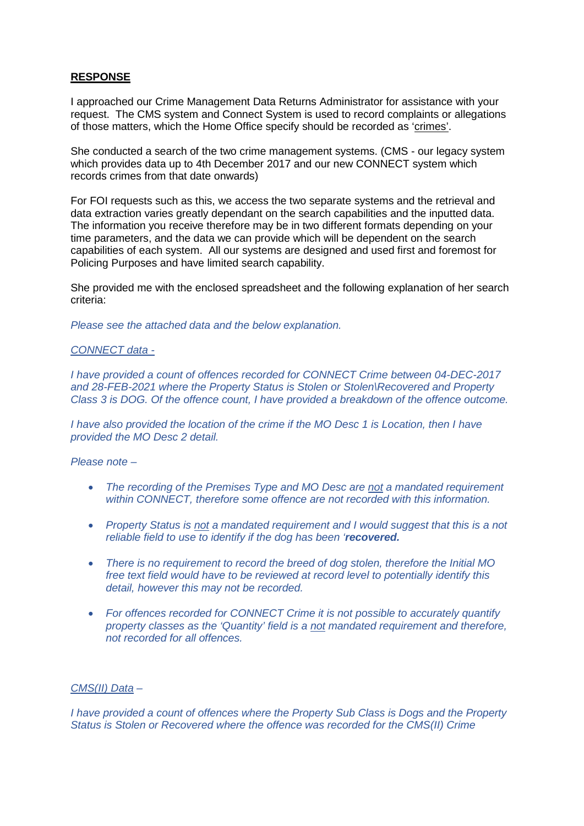## **RESPONSE**

I approached our Crime Management Data Returns Administrator for assistance with your request. The CMS system and Connect System is used to record complaints or allegations of those matters, which the Home Office specify should be recorded as 'crimes'.

She conducted a search of the two crime management systems. (CMS - our legacy system which provides data up to 4th December 2017 and our new CONNECT system which records crimes from that date onwards)

For FOI requests such as this, we access the two separate systems and the retrieval and data extraction varies greatly dependant on the search capabilities and the inputted data. The information you receive therefore may be in two different formats depending on your time parameters, and the data we can provide which will be dependent on the search capabilities of each system. All our systems are designed and used first and foremost for Policing Purposes and have limited search capability.

She provided me with the enclosed spreadsheet and the following explanation of her search criteria:

*Please see the attached data and the below explanation.*

### *CONNECT data -*

*I have provided a count of offences recorded for CONNECT Crime between 04-DEC-2017 and 28-FEB-2021 where the Property Status is Stolen or Stolen\Recovered and Property Class 3 is DOG. Of the offence count, I have provided a breakdown of the offence outcome.*

*I have also provided the location of the crime if the MO Desc 1 is Location, then I have provided the MO Desc 2 detail.*

### *Please note –*

- *The recording of the Premises Type and MO Desc are not a mandated requirement within CONNECT, therefore some offence are not recorded with this information.*
- *Property Status is not a mandated requirement and I would suggest that this is a not reliable field to use to identify if the dog has been 'recovered.*
- *There is no requirement to record the breed of dog stolen, therefore the Initial MO free text field would have to be reviewed at record level to potentially identify this detail, however this may not be recorded.*
- *For offences recorded for CONNECT Crime it is not possible to accurately quantify property classes as the 'Quantity' field is a not mandated requirement and therefore, not recorded for all offences.*

## *CMS(II) Data –*

*I have provided a count of offences where the Property Sub Class is Dogs and the Property Status is Stolen or Recovered where the offence was recorded for the CMS(II) Crime*